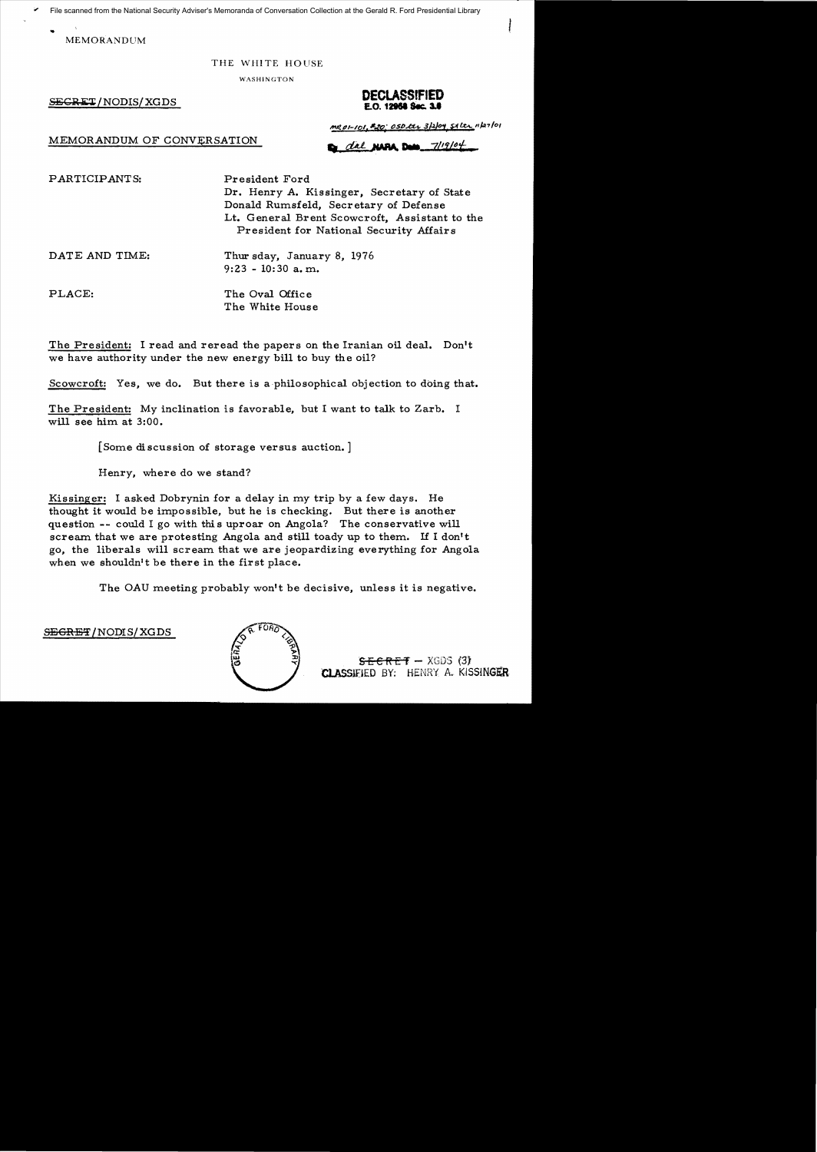File scanned from the National Security Adviser's Memoranda of Conversation Collection at the Gerald R. Ford Presidential Library

MEMORANDUM

## THE WHITE HOUSE

WASHINGTON

## **DECLASSIFIED**<br>E.0. 12958 Sec. 3.6

MEMORANDUM OF CONVERSATION

m201-101, 20: 050 lts 3/2/04 51 Lts 1127/01

dal NAPA Data 7/19/04

PARTICIPANTS: President Ford

Dr. Henry A. Kissinger, Secretary of State Donald Rumsfeld, Secretary of Defense Lt. General Brent Scowcroft, Assistant to the President for National Security Affairs

DATE AND TIME: Thur sday, January 8, 1976 9:23 - 10: 30 a. m.

PLACE: The Oval Office The White House

The President: I read and reread the papers on the Iranian oil deal. Don't we have authority under the new energy bill to buy the oil?

Scowcroft: Yes, we do. But there is a philosophical objection to doing that.

The President: My inclination is favorable, but I want to talk to Zarb. I will see him at 3:00.

[Some discussion of storage versus auction. ]

Henry, where do we stand?

Kissinger: I asked Dobrynin for a delay in my trip by a few days. He thought it would be impossible, but he is checking. But there is another question -- could I go with this uproar on Angola? The conservative will scream that we are protesting Angola and still toady up to them. If I don't go, the liberals will scream that we are jeopardizing everything for Angola when we shouldn't be there in the first place.

The OAU meeting probably won't be decisive, unless it is negative.

 $S$ <del>EGRET</del>/NODIS/XGDS



 $SEE$ RET - XGDS (3) CLASSIFIED BY: HENRY A. KISSINGER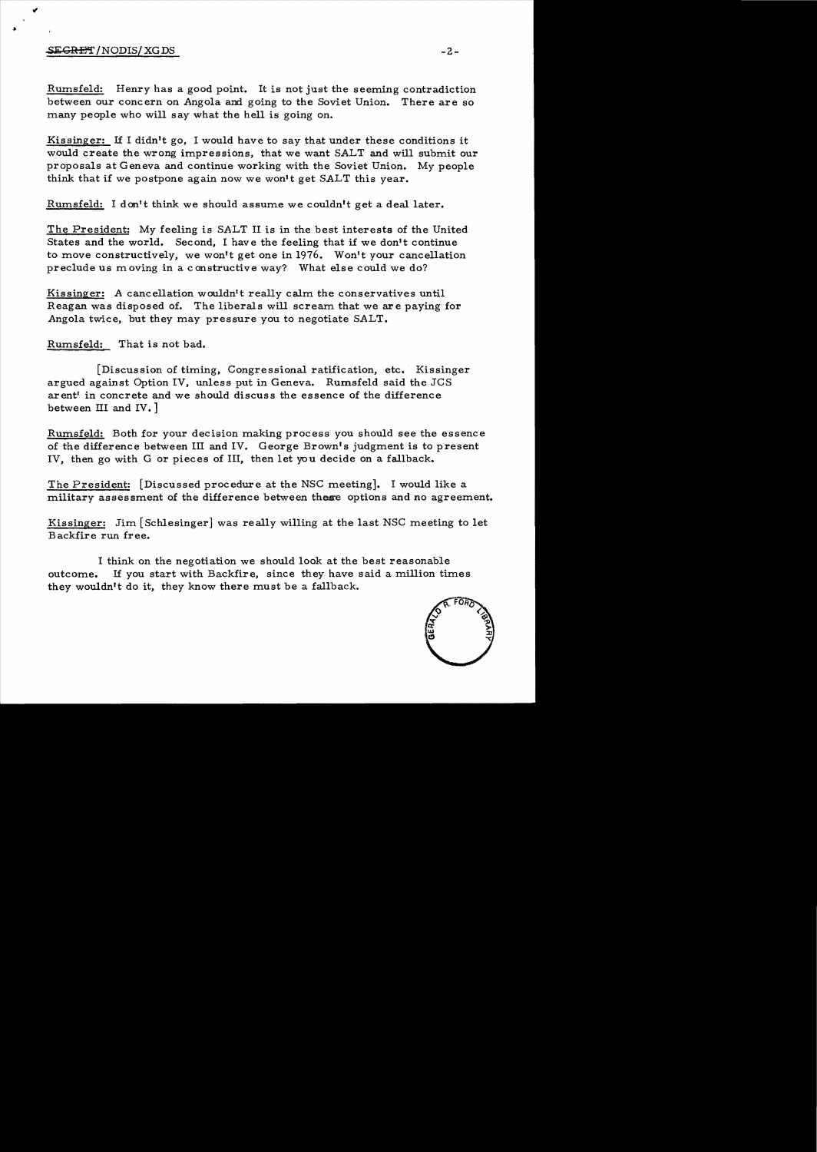## $S$ E<del>GRET</del> /NODIS/ XG DS  $-2$  -

Rumsfeld: Henry has a good point. It is not just the seeming contradiction between our concern on Angola and going to the Soviet Union. There are so many people who will say what the hell is going on.

Kissinger: If I didn't go, I would have to say that under these conditions it would create the wrong impressions, that we want SALT and will submit our proposals at Geneva and continue working with the Soviet Union. My people think that if we postpone again now we won't get SALT this year.

Rumsfeld: I don't think we should assume we couldn't get a deal later.

The President: My feeling is SALT II is in the best interests of the United States and the world. Second, I have the feeling that if we don't continue to move constructively, we won't get one in 1976. Won't your cancellation preclude us moving in a constructive way? What else could we do?

Kissinger: A cancellation wouldn't really calm the conservatives until Reagan was disposed of. The liberals will scream that we are paying for Angola twice, but they may pressure you to negotiate SALT.

Rumsfeld: That is not bad.

[Discussion of timing, Congressional ratification, etc. Kissinger argued against Option IV, unless put in Geneva. Rumsfeld said the JCS arent' in concrete and we should discuss the essence of the difference between III and IV. ]

Rumsfeld: Both for your decision making process you should see the essence of the difference between III and IV. George Brown's judgment is to present IV, then go with G or pieces of III, then let you decide on a fallback.

The President: [Discussed procedure at the NSC meeting]. I would like a military assessment of the difference between these options and no agreement.

Kissinger: Jim [Schlesinger] was really willing at the last NSC meeting to let Backfire run free.

I think on the negotiation we should look at the best reasonable outcome. If you start with Backfire, since they have said a million times they wouldn't do it, they know there must be a fallback.

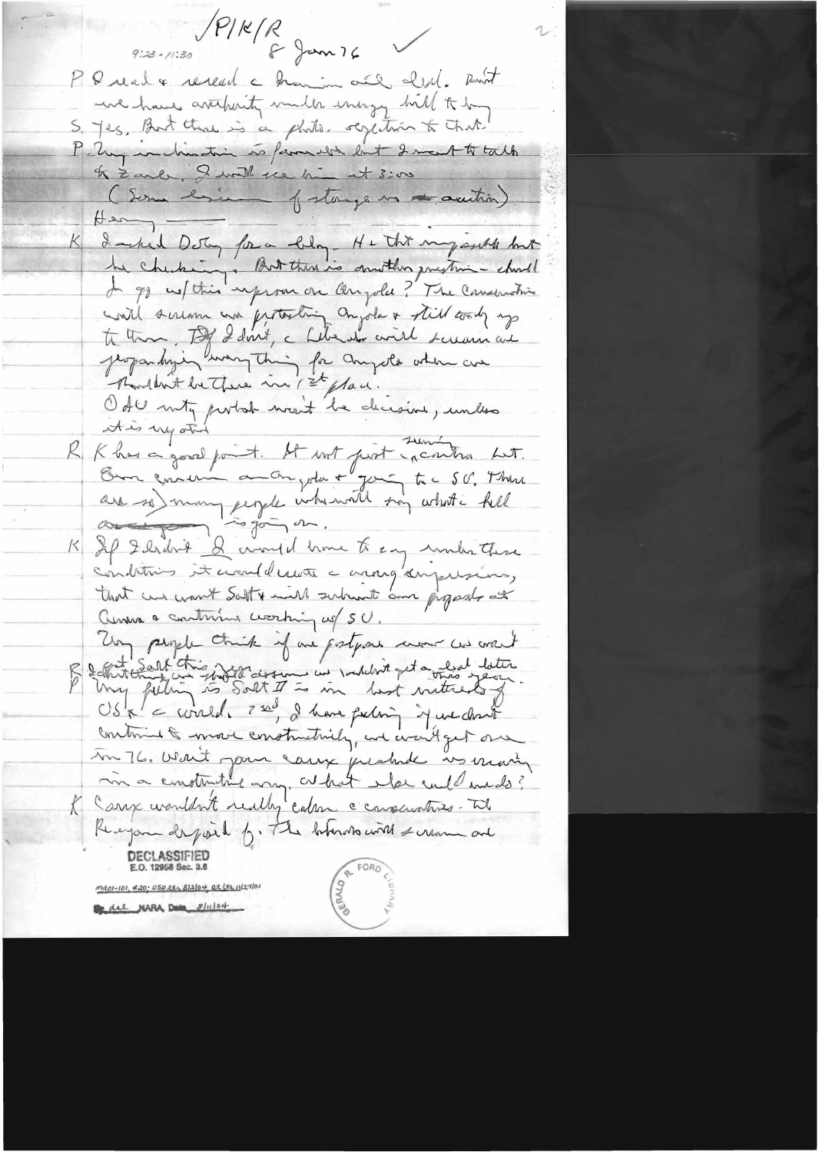PIKR<br>PIKR  $9:33 - 10:30$ PQ real & research a framin and clear. Rent we have artificity milk energy hill to him S. Jes, But that is a philo. scylition to that P. Ung inclination is family but I mout to talk to Zarle. I with the him at 3:00 (Som brien fortage is a autric)  $\overline{+}$ K I suched Detry for a blog. He this my assists but he checking. But this is sunther presting - charle In go us this inform on Onigola? The Conservation will seriam and protesting anyola & still took up to them, Tof I don't, a february will scream and Jeopandysin wary thing for anyoth when are Mondant be There in 1st place. Ode mity portal man't be dicision, unles R Khas a good point. It not just incontra Let. Om concern anonyota + your to . SU, There are so) many jegele intremaît son what i hell K If Ilrdrit & crowd home to any under these conditions it would water a aroug day waising, that we want Salt & will subwat am proposed at anna a continua coasting of SU. Ung people think if are gestions were cus aren't débutterant chien indertraissement une vouloire que a voire jeune Contains & move constructively, and want get one In 76. Want jour carry prehable in marin ma emotivitat any at hat the culd medo? Receipon depoint for The behinds with scream and DECLASSIFIED E.O. 12958 Sec. 3.6 <u> maoi-ioi, 420; OSDetz 3/2/04, et ltr il</u> 27/01 del NARA Data 8/11/04